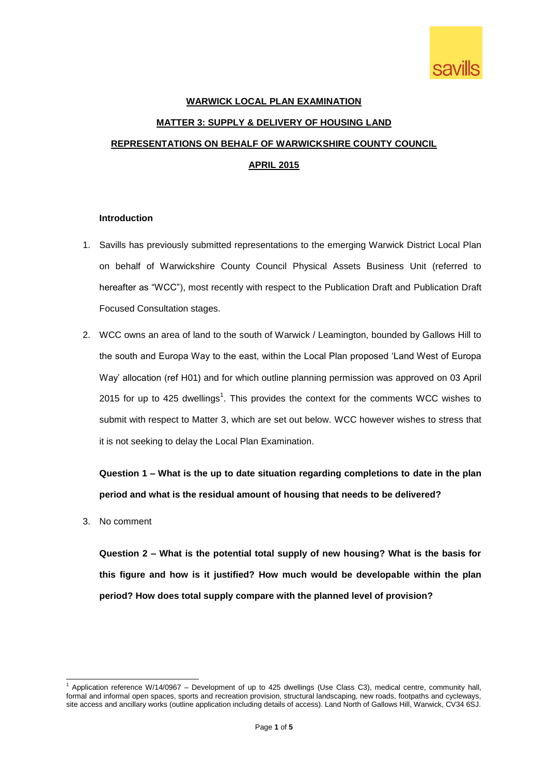

# **WARWICK LOCAL PLAN EXAMINATION MATTER 3: SUPPLY & DELIVERY OF HOUSING LAND REPRESENTATIONS ON BEHALF OF WARWICKSHIRE COUNTY COUNCIL APRIL 2015**

#### **Introduction**

- 1. Savills has previously submitted representations to the emerging Warwick District Local Plan on behalf of Warwickshire County Council Physical Assets Business Unit (referred to hereafter as "WCC"), most recently with respect to the Publication Draft and Publication Draft Focused Consultation stages.
- 2. WCC owns an area of land to the south of Warwick / Leamington, bounded by Gallows Hill to the south and Europa Way to the east, within the Local Plan proposed 'Land West of Europa Way' allocation (ref H01) and for which outline planning permission was approved on 03 April 2015 for up to 425 dwellings<sup>1</sup>. This provides the context for the comments WCC wishes to submit with respect to Matter 3, which are set out below. WCC however wishes to stress that it is not seeking to delay the Local Plan Examination.

**Question 1 – What is the up to date situation regarding completions to date in the plan period and what is the residual amount of housing that needs to be delivered?**

3. No comment

1

**Question 2 – What is the potential total supply of new housing? What is the basis for this figure and how is it justified? How much would be developable within the plan period? How does total supply compare with the planned level of provision?**

Application reference W/14/0967 – Development of up to 425 dwellings (Use Class C3), medical centre, community hall, formal and informal open spaces, sports and recreation provision, structural landscaping, new roads, footpaths and cycleways, site access and ancillary works (outline application including details of access). Land North of Gallows Hill, Warwick, CV34 6SJ.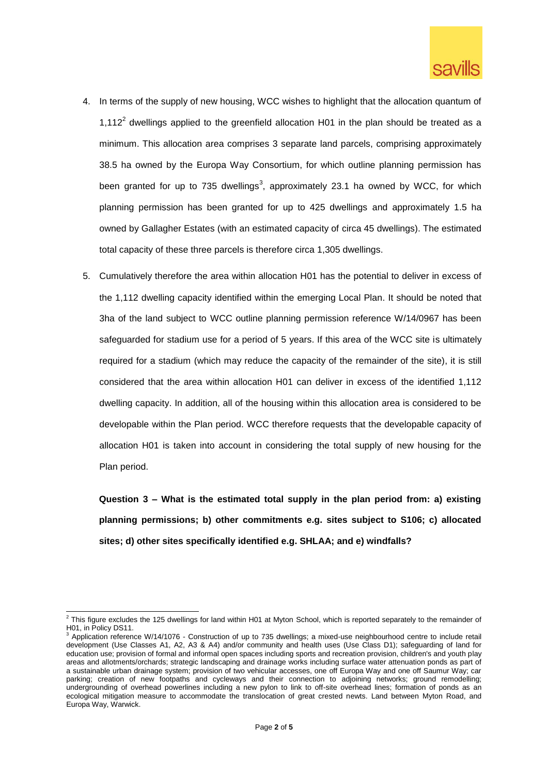

- 4. In terms of the supply of new housing, WCC wishes to highlight that the allocation quantum of 1,112<sup>2</sup> dwellings applied to the greenfield allocation H01 in the plan should be treated as a minimum. This allocation area comprises 3 separate land parcels, comprising approximately 38.5 ha owned by the Europa Way Consortium, for which outline planning permission has been granted for up to 735 dwellings<sup>3</sup>, approximately 23.1 ha owned by WCC, for which planning permission has been granted for up to 425 dwellings and approximately 1.5 ha owned by Gallagher Estates (with an estimated capacity of circa 45 dwellings). The estimated total capacity of these three parcels is therefore circa 1,305 dwellings.
- 5. Cumulatively therefore the area within allocation H01 has the potential to deliver in excess of the 1,112 dwelling capacity identified within the emerging Local Plan. It should be noted that 3ha of the land subject to WCC outline planning permission reference W/14/0967 has been safeguarded for stadium use for a period of 5 years. If this area of the WCC site is ultimately required for a stadium (which may reduce the capacity of the remainder of the site), it is still considered that the area within allocation H01 can deliver in excess of the identified 1,112 dwelling capacity. In addition, all of the housing within this allocation area is considered to be developable within the Plan period. WCC therefore requests that the developable capacity of allocation H01 is taken into account in considering the total supply of new housing for the Plan period.

**Question 3 – What is the estimated total supply in the plan period from: a) existing planning permissions; b) other commitments e.g. sites subject to S106; c) allocated sites; d) other sites specifically identified e.g. SHLAA; and e) windfalls?**

This figure excludes the 125 dwellings for land within H01 at Myton School, which is reported separately to the remainder of H01, in Policy DS11.

<sup>3</sup> Application reference W/14/1076 - Construction of up to 735 dwellings; a mixed-use neighbourhood centre to include retail development (Use Classes A1, A2, A3 & A4) and/or community and health uses (Use Class D1); safeguarding of land for education use; provision of formal and informal open spaces including sports and recreation provision, children's and youth play areas and allotments/orchards; strategic landscaping and drainage works including surface water attenuation ponds as part of a sustainable urban drainage system; provision of two vehicular accesses, one off Europa Way and one off Saumur Way; car parking; creation of new footpaths and cycleways and their connection to adjoining networks; ground remodelling; undergrounding of overhead powerlines including a new pylon to link to off-site overhead lines; formation of ponds as an ecological mitigation measure to accommodate the translocation of great crested newts. Land between Myton Road, and Europa Way, Warwick.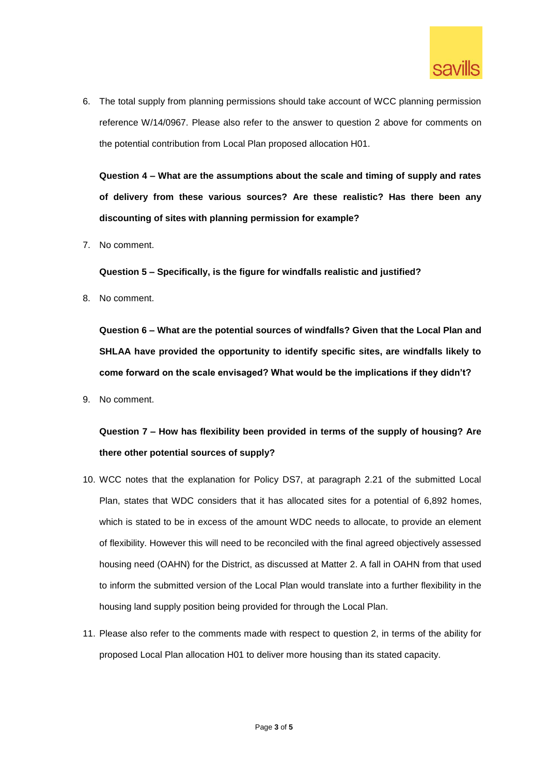

6. The total supply from planning permissions should take account of WCC planning permission reference W/14/0967. Please also refer to the answer to question 2 above for comments on the potential contribution from Local Plan proposed allocation H01.

**Question 4 – What are the assumptions about the scale and timing of supply and rates of delivery from these various sources? Are these realistic? Has there been any discounting of sites with planning permission for example?**

7. No comment.

**Question 5 – Specifically, is the figure for windfalls realistic and justified?**

8. No comment.

**Question 6 – What are the potential sources of windfalls? Given that the Local Plan and SHLAA have provided the opportunity to identify specific sites, are windfalls likely to come forward on the scale envisaged? What would be the implications if they didn't?**

9. No comment.

### **Question 7 – How has flexibility been provided in terms of the supply of housing? Are there other potential sources of supply?**

- 10. WCC notes that the explanation for Policy DS7, at paragraph 2.21 of the submitted Local Plan, states that WDC considers that it has allocated sites for a potential of 6,892 homes, which is stated to be in excess of the amount WDC needs to allocate, to provide an element of flexibility. However this will need to be reconciled with the final agreed objectively assessed housing need (OAHN) for the District, as discussed at Matter 2. A fall in OAHN from that used to inform the submitted version of the Local Plan would translate into a further flexibility in the housing land supply position being provided for through the Local Plan.
- 11. Please also refer to the comments made with respect to question 2, in terms of the ability for proposed Local Plan allocation H01 to deliver more housing than its stated capacity.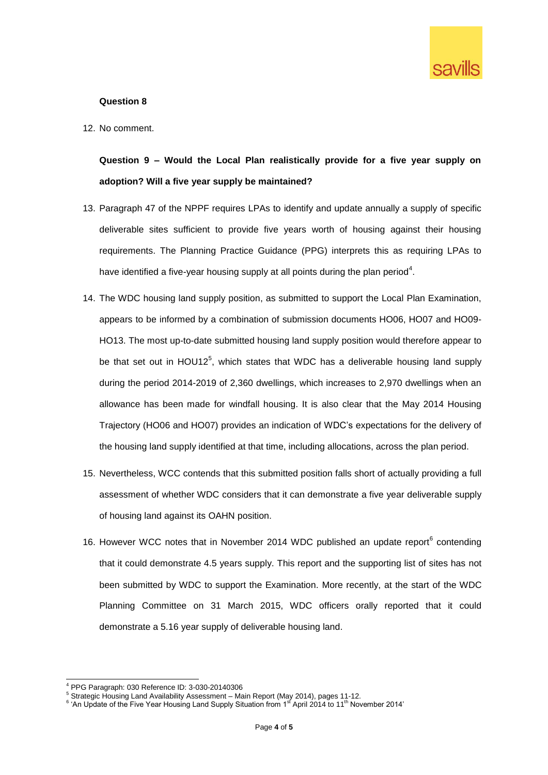

#### **Question 8**

12. No comment.

## **Question 9 – Would the Local Plan realistically provide for a five year supply on adoption? Will a five year supply be maintained?**

- 13. Paragraph 47 of the NPPF requires LPAs to identify and update annually a supply of specific deliverable sites sufficient to provide five years worth of housing against their housing requirements. The Planning Practice Guidance (PPG) interprets this as requiring LPAs to have identified a five-year housing supply at all points during the plan period<sup>4</sup>.
- 14. The WDC housing land supply position, as submitted to support the Local Plan Examination, appears to be informed by a combination of submission documents HO06, HO07 and HO09- HO13. The most up-to-date submitted housing land supply position would therefore appear to be that set out in HOU12 $5$ , which states that WDC has a deliverable housing land supply during the period 2014-2019 of 2,360 dwellings, which increases to 2,970 dwellings when an allowance has been made for windfall housing. It is also clear that the May 2014 Housing Trajectory (HO06 and HO07) provides an indication of WDC's expectations for the delivery of the housing land supply identified at that time, including allocations, across the plan period.
- 15. Nevertheless, WCC contends that this submitted position falls short of actually providing a full assessment of whether WDC considers that it can demonstrate a five year deliverable supply of housing land against its OAHN position.
- 16. However WCC notes that in November 2014 WDC published an update report $6$  contending that it could demonstrate 4.5 years supply. This report and the supporting list of sites has not been submitted by WDC to support the Examination. More recently, at the start of the WDC Planning Committee on 31 March 2015, WDC officers orally reported that it could demonstrate a 5.16 year supply of deliverable housing land.

<sup>1</sup> <sup>4</sup> PPG Paragraph: 030 Reference ID: 3-030-20140306

<sup>5</sup> Strategic Housing Land Availability Assessment – Main Report (May 2014), pages 11-12.

<sup>&</sup>lt;sup>6</sup> 'An Update of the Five Year Housing Land Supply Situation from 1st April 2014 to 11<sup>th</sup> November 2014'